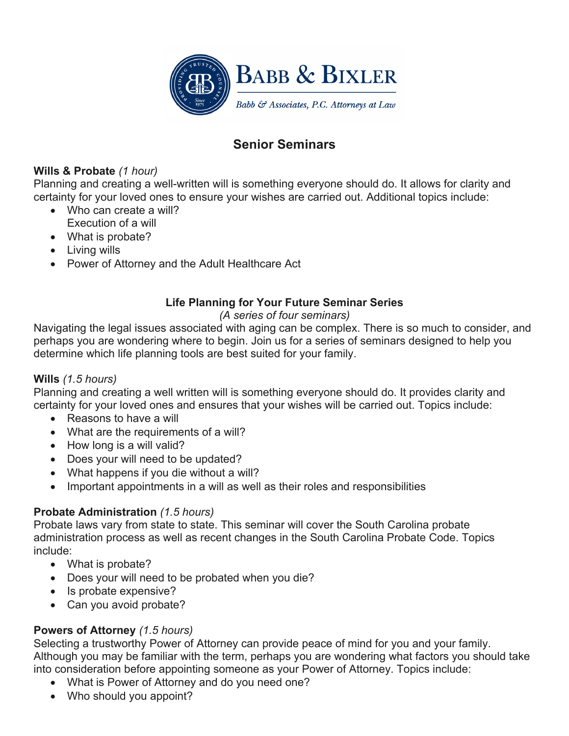

# **Senior Seminars**

# **Wills & Probate** *(1 hour)*

Planning and creating a well-written will is something everyone should do. It allows for clarity and certainty for your loved ones to ensure your wishes are carried out. Additional topics include:

- Who can create a will?
- Execution of a will
- What is probate?
- Living wills
- Power of Attorney and the Adult Healthcare Act

# **Life Planning for Your Future Seminar Series**

# *(A series of four seminars)*

Navigating the legal issues associated with aging can be complex. There is so much to consider, and perhaps you are wondering where to begin. Join us for a series of seminars designed to help you determine which life planning tools are best suited for your family.

# **Wills** *(1.5 hours)*

Planning and creating a well written will is something everyone should do. It provides clarity and certainty for your loved ones and ensures that your wishes will be carried out. Topics include:

- Reasons to have a will
- What are the requirements of a will?
- How long is a will valid?
- Does your will need to be updated?
- What happens if you die without a will?
- Important appointments in a will as well as their roles and responsibilities

# **Probate Administration** *(1.5 hours)*

Probate laws vary from state to state. This seminar will cover the South Carolina probate administration process as well as recent changes in the South Carolina Probate Code. Topics include:

- What is probate?
- Does your will need to be probated when you die?
- Is probate expensive?
- Can you avoid probate?

# **Powers of Attorney** *(1.5 hours)*

Selecting a trustworthy Power of Attorney can provide peace of mind for you and your family. Although you may be familiar with the term, perhaps you are wondering what factors you should take into consideration before appointing someone as your Power of Attorney. Topics include:

- What is Power of Attorney and do you need one?
- Who should you appoint?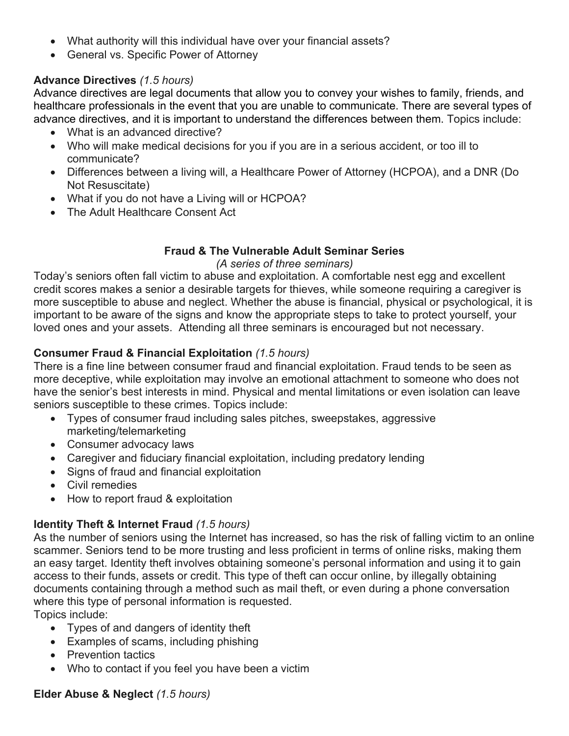- What authority will this individual have over your financial assets?
- General vs. Specific Power of Attorney

#### **Advance Directives** *(1.5 hours)*

Advance directives are legal documents that allow you to convey your wishes to family, friends, and healthcare professionals in the event that you are unable to communicate. There are several types of advance directives, and it is important to understand the differences between them. Topics include:

- What is an advanced directive?
- Who will make medical decisions for you if you are in a serious accident, or too ill to communicate?
- Differences between a living will, a Healthcare Power of Attorney (HCPOA), and a DNR (Do Not Resuscitate)
- What if you do not have a Living will or HCPOA?
- The Adult Healthcare Consent Act

# **Fraud & The Vulnerable Adult Seminar Series**

#### *(A series of three seminars)*

Today's seniors often fall victim to abuse and exploitation. A comfortable nest egg and excellent credit scores makes a senior a desirable targets for thieves, while someone requiring a caregiver is more susceptible to abuse and neglect. Whether the abuse is financial, physical or psychological, it is important to be aware of the signs and know the appropriate steps to take to protect yourself, your loved ones and your assets. Attending all three seminars is encouraged but not necessary.

# **Consumer Fraud & Financial Exploitation** *(1.5 hours)*

There is a fine line between consumer fraud and financial exploitation. Fraud tends to be seen as more deceptive, while exploitation may involve an emotional attachment to someone who does not have the senior's best interests in mind. Physical and mental limitations or even isolation can leave seniors susceptible to these crimes. Topics include:

- Types of consumer fraud including sales pitches, sweepstakes, aggressive marketing/telemarketing
- Consumer advocacy laws
- Caregiver and fiduciary financial exploitation, including predatory lending
- Signs of fraud and financial exploitation
- Civil remedies
- How to report fraud & exploitation

# **Identity Theft & Internet Fraud** *(1.5 hours)*

As the number of seniors using the Internet has increased, so has the risk of falling victim to an online scammer. Seniors tend to be more trusting and less proficient in terms of online risks, making them an easy target. Identity theft involves obtaining someone's personal information and using it to gain access to their funds, assets or credit. This type of theft can occur online, by illegally obtaining documents containing through a method such as mail theft, or even during a phone conversation where this type of personal information is requested. Topics include:

- Types of and dangers of identity theft
- Examples of scams, including phishing
- Prevention tactics
- Who to contact if you feel you have been a victim

# **Elder Abuse & Neglect** *(1.5 hours)*